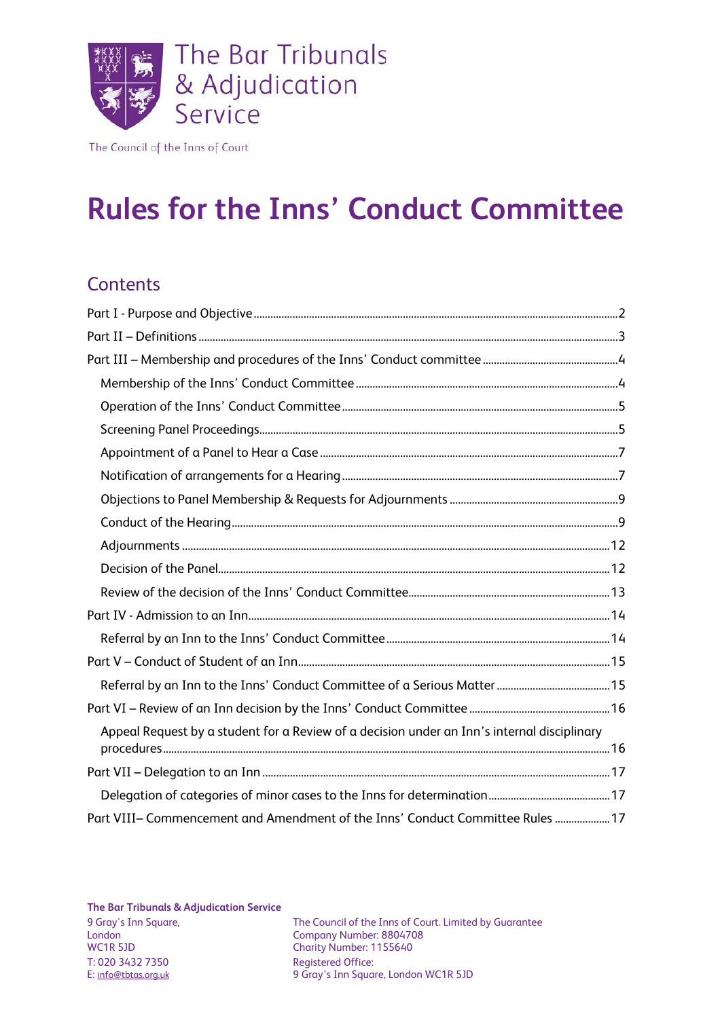

The Council of the Inns of Court

# **Rules for the Inns' Conduct Committee**

#### **Contents**

| Appeal Request by a student for a Review of a decision under an Inn's internal disciplinary |  |
|---------------------------------------------------------------------------------------------|--|
|                                                                                             |  |
|                                                                                             |  |
| Part VIII- Commencement and Amendment of the Inns' Conduct Committee Rules  17              |  |

**The Bar Tribunals & Adjudication Service**

T: 020 3432 7350 Registered Office:<br>
E: <u>info@tbtas.org.uk</u> 9 Gray's Inn Squa

9 Gray's Inn Square, The Council of the Inns of Court. Limited by Guarantee London<br>Company Number: 8804708 London Company Number: 8804708 Charity Number: 1155640 9 Gray's Inn Square, London WC1R 5JD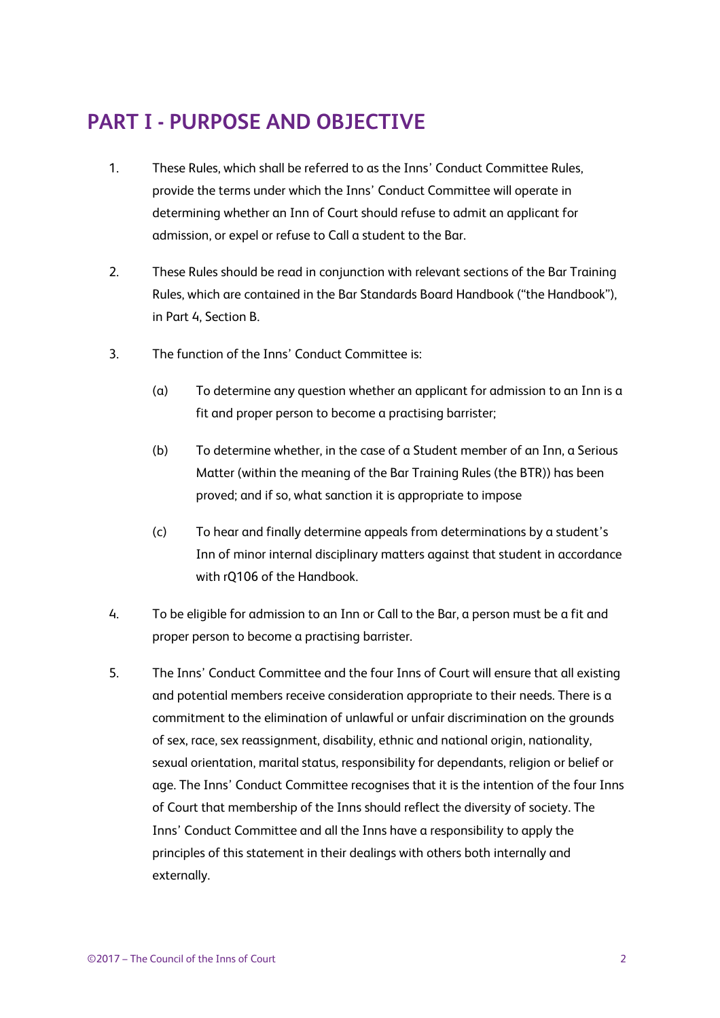### <span id="page-1-0"></span>**PART I - PURPOSE AND OBJECTIVE**

- 1. These Rules, which shall be referred to as the Inns' Conduct Committee Rules, provide the terms under which the Inns' Conduct Committee will operate in determining whether an Inn of Court should refuse to admit an applicant for admission, or expel or refuse to Call a student to the Bar.
- 2. These Rules should be read in conjunction with relevant sections of the Bar Training Rules, which are contained in the Bar Standards Board Handbook ("the Handbook"), in Part 4, Section B.
- 3. The function of the Inns' Conduct Committee is:
	- (a) To determine any question whether an applicant for admission to an Inn is a fit and proper person to become a practising barrister;
	- (b) To determine whether, in the case of a Student member of an Inn, a Serious Matter (within the meaning of the Bar Training Rules (the BTR)) has been proved; and if so, what sanction it is appropriate to impose
	- (c) To hear and finally determine appeals from determinations by a student's Inn of minor internal disciplinary matters against that student in accordance with rQ106 of the Handbook.
- 4. To be eligible for admission to an Inn or Call to the Bar, a person must be a fit and proper person to become a practising barrister.
- 5. The Inns' Conduct Committee and the four Inns of Court will ensure that all existing and potential members receive consideration appropriate to their needs. There is a commitment to the elimination of unlawful or unfair discrimination on the grounds of sex, race, sex reassignment, disability, ethnic and national origin, nationality, sexual orientation, marital status, responsibility for dependants, religion or belief or age. The Inns' Conduct Committee recognises that it is the intention of the four Inns of Court that membership of the Inns should reflect the diversity of society. The Inns' Conduct Committee and all the Inns have a responsibility to apply the principles of this statement in their dealings with others both internally and externally.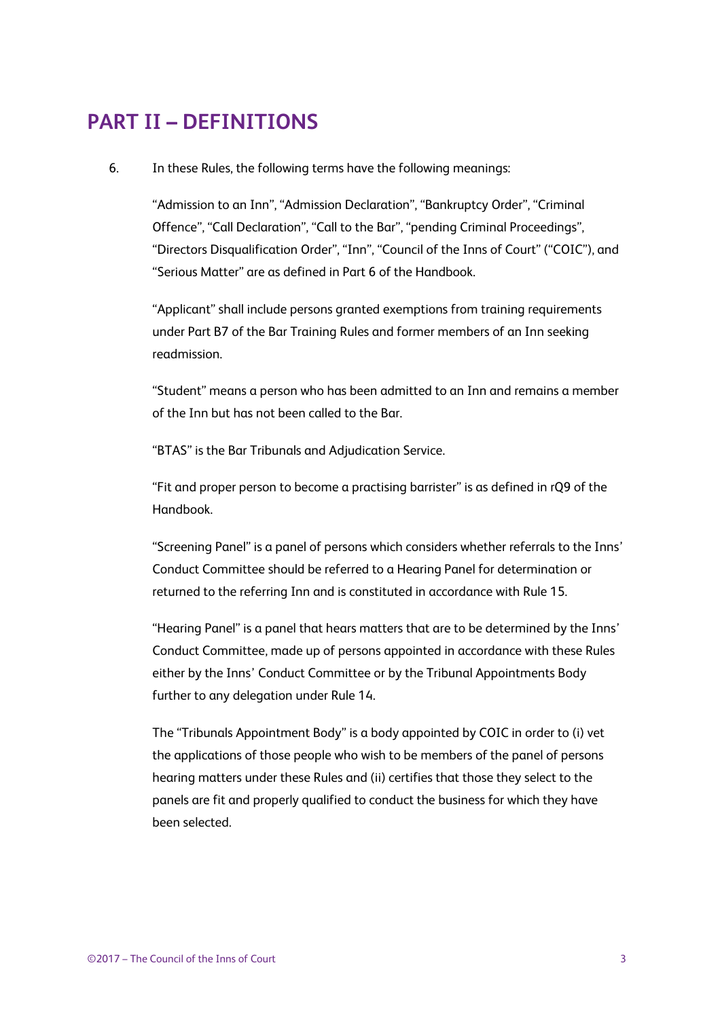### <span id="page-2-0"></span>**PART II – DEFINITIONS**

#### 6. In these Rules, the following terms have the following meanings:

"Admission to an Inn", "Admission Declaration", "Bankruptcy Order", "Criminal Offence", "Call Declaration", "Call to the Bar", "pending Criminal Proceedings", "Directors Disqualification Order", "Inn", "Council of the Inns of Court" ("COIC"), and "Serious Matter" are as defined in Part 6 of the Handbook.

"Applicant" shall include persons granted exemptions from training requirements under Part B7 of the Bar Training Rules and former members of an Inn seeking readmission.

"Student" means a person who has been admitted to an Inn and remains a member of the Inn but has not been called to the Bar.

"BTAS" is the Bar Tribunals and Adjudication Service.

"Fit and proper person to become a practising barrister" is as defined in rQ9 of the Handbook.

"Screening Panel" is a panel of persons which considers whether referrals to the Inns' Conduct Committee should be referred to a Hearing Panel for determination or returned to the referring Inn and is constituted in accordance with Rule 15.

"Hearing Panel" is a panel that hears matters that are to be determined by the Inns' Conduct Committee, made up of persons appointed in accordance with these Rules either by the Inns' Conduct Committee or by the Tribunal Appointments Body further to any delegation under Rule 14.

The "Tribunals Appointment Body" is a body appointed by COIC in order to (i) vet the applications of those people who wish to be members of the panel of persons hearing matters under these Rules and (ii) certifies that those they select to the panels are fit and properly qualified to conduct the business for which they have been selected.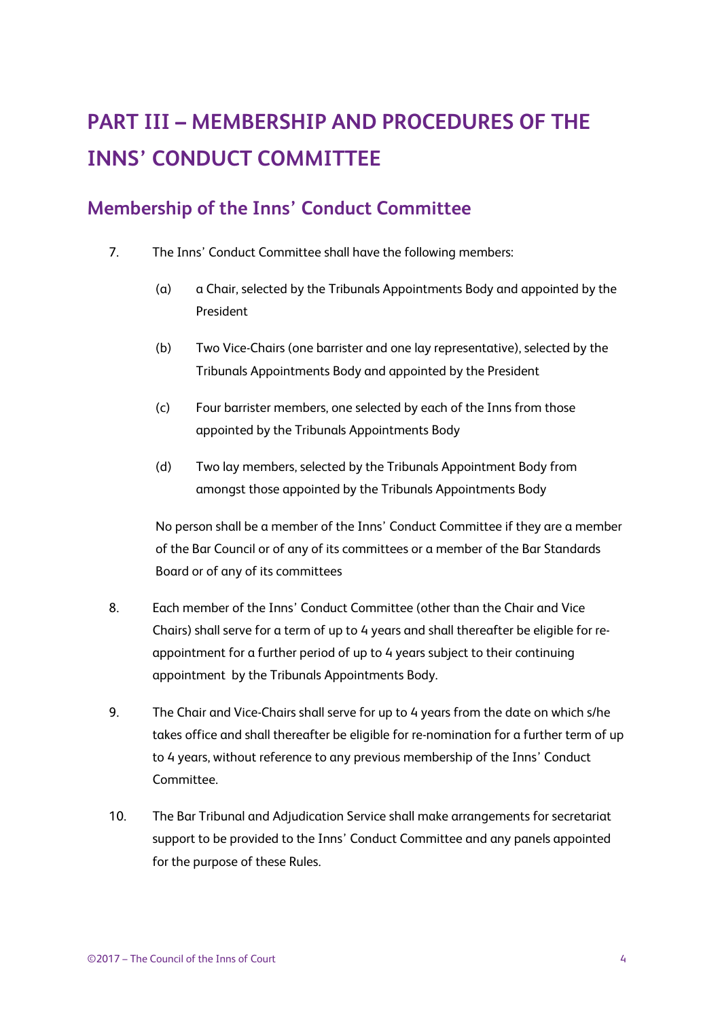## <span id="page-3-0"></span>**PART III – MEMBERSHIP AND PROCEDURES OF THE INNS' CONDUCT COMMITTEE**

#### <span id="page-3-1"></span>**Membership of the Inns' Conduct Committee**

- 7. The Inns' Conduct Committee shall have the following members:
	- (a) a Chair, selected by the Tribunals Appointments Body and appointed by the President
	- (b) Two Vice-Chairs (one barrister and one lay representative), selected by the Tribunals Appointments Body and appointed by the President
	- (c) Four barrister members, one selected by each of the Inns from those appointed by the Tribunals Appointments Body
	- (d) Two lay members, selected by the Tribunals Appointment Body from amongst those appointed by the Tribunals Appointments Body

No person shall be a member of the Inns' Conduct Committee if they are a member of the Bar Council or of any of its committees or a member of the Bar Standards Board or of any of its committees

- 8. Each member of the Inns' Conduct Committee (other than the Chair and Vice Chairs) shall serve for a term of up to 4 years and shall thereafter be eligible for reappointment for a further period of up to 4 years subject to their continuing appointment by the Tribunals Appointments Body.
- 9. The Chair and Vice-Chairs shall serve for up to 4 years from the date on which s/he takes office and shall thereafter be eligible for re-nomination for a further term of up to 4 years, without reference to any previous membership of the Inns' Conduct Committee.
- 10. The Bar Tribunal and Adjudication Service shall make arrangements for secretariat support to be provided to the Inns' Conduct Committee and any panels appointed for the purpose of these Rules.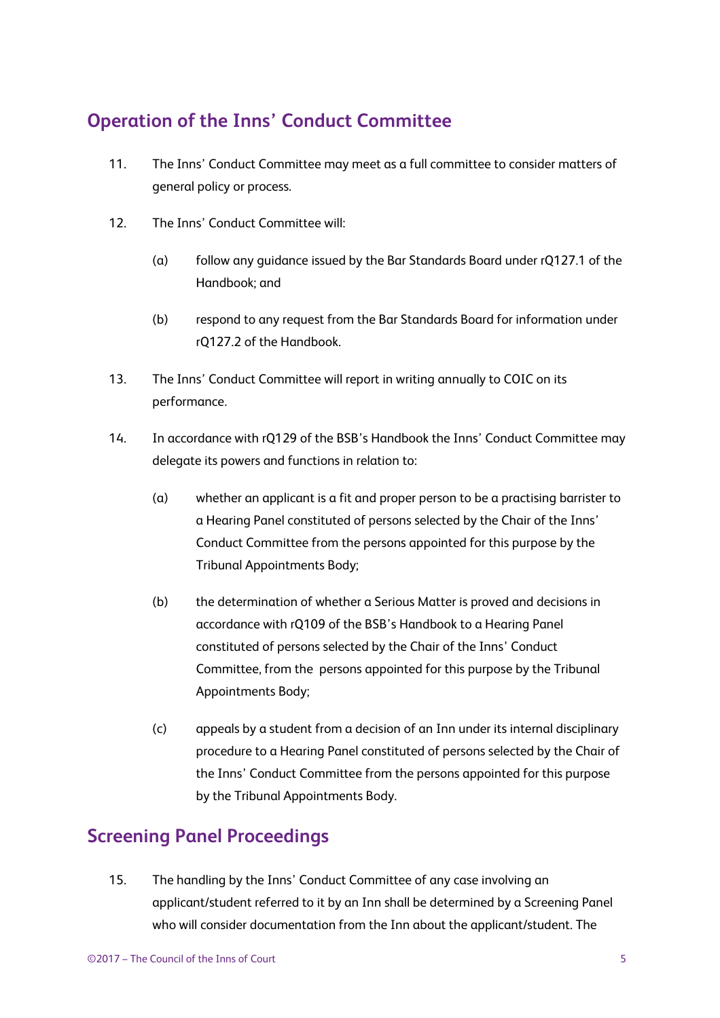### <span id="page-4-0"></span>**Operation of the Inns' Conduct Committee**

- 11. The Inns' Conduct Committee may meet as a full committee to consider matters of general policy or process.
- 12. The Inns' Conduct Committee will:
	- (a) follow any guidance issued by the Bar Standards Board under rQ127.1 of the Handbook; and
	- (b) respond to any request from the Bar Standards Board for information under rQ127.2 of the Handbook.
- 13. The Inns' Conduct Committee will report in writing annually to COIC on its performance.
- 14. In accordance with rQ129 of the BSB's Handbook the Inns' Conduct Committee may delegate its powers and functions in relation to:
	- (a) whether an applicant is a fit and proper person to be a practising barrister to a Hearing Panel constituted of persons selected by the Chair of the Inns' Conduct Committee from the persons appointed for this purpose by the Tribunal Appointments Body;
	- (b) the determination of whether a Serious Matter is proved and decisions in accordance with rQ109 of the BSB's Handbook to a Hearing Panel constituted of persons selected by the Chair of the Inns' Conduct Committee, from the persons appointed for this purpose by the Tribunal Appointments Body;
	- (c) appeals by a student from a decision of an Inn under its internal disciplinary procedure to a Hearing Panel constituted of persons selected by the Chair of the Inns' Conduct Committee from the persons appointed for this purpose by the Tribunal Appointments Body.

#### <span id="page-4-1"></span>**Screening Panel Proceedings**

15. The handling by the Inns' Conduct Committee of any case involving an applicant/student referred to it by an Inn shall be determined by a Screening Panel who will consider documentation from the Inn about the applicant/student. The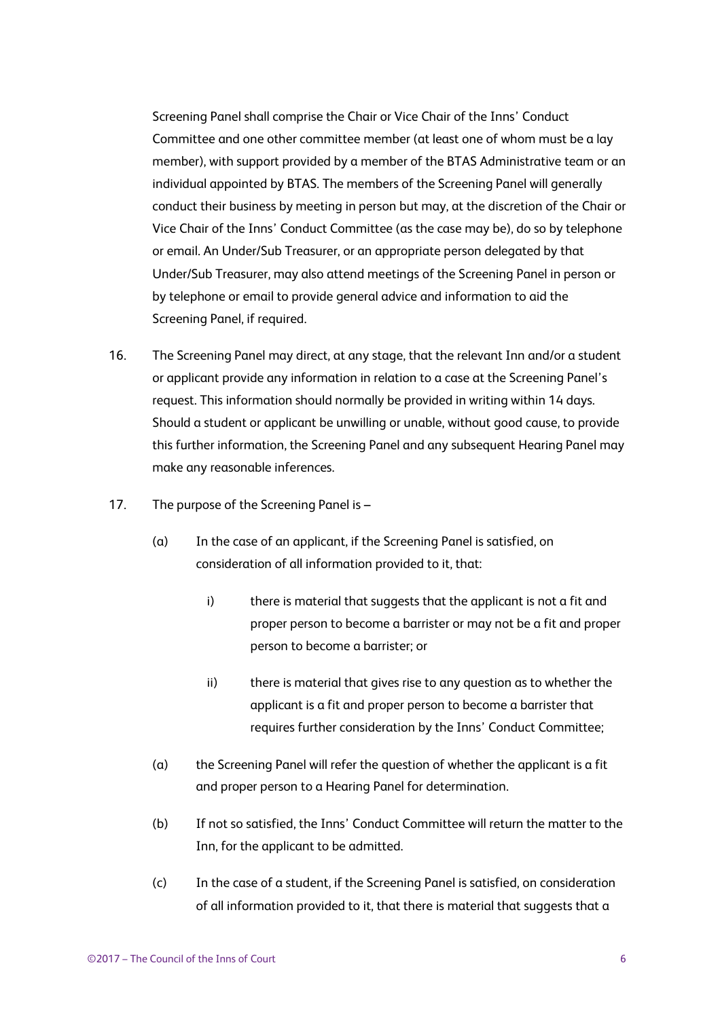Screening Panel shall comprise the Chair or Vice Chair of the Inns' Conduct Committee and one other committee member (at least one of whom must be a lay member), with support provided by a member of the BTAS Administrative team or an individual appointed by BTAS. The members of the Screening Panel will generally conduct their business by meeting in person but may, at the discretion of the Chair or Vice Chair of the Inns' Conduct Committee (as the case may be), do so by telephone or email. An Under/Sub Treasurer, or an appropriate person delegated by that Under/Sub Treasurer, may also attend meetings of the Screening Panel in person or by telephone or email to provide general advice and information to aid the Screening Panel, if required.

- 16. The Screening Panel may direct, at any stage, that the relevant Inn and/or a student or applicant provide any information in relation to a case at the Screening Panel's request. This information should normally be provided in writing within 14 days. Should a student or applicant be unwilling or unable, without good cause, to provide this further information, the Screening Panel and any subsequent Hearing Panel may make any reasonable inferences.
- 17. The purpose of the Screening Panel is
	- (a) In the case of an applicant, if the Screening Panel is satisfied, on consideration of all information provided to it, that:
		- i) there is material that suggests that the applicant is not a fit and proper person to become a barrister or may not be a fit and proper person to become a barrister; or
		- ii) there is material that gives rise to any question as to whether the applicant is a fit and proper person to become a barrister that requires further consideration by the Inns' Conduct Committee;
	- (a) the Screening Panel will refer the question of whether the applicant is a fit and proper person to a Hearing Panel for determination.
	- (b) If not so satisfied, the Inns' Conduct Committee will return the matter to the Inn, for the applicant to be admitted.
	- (c) In the case of a student, if the Screening Panel is satisfied, on consideration of all information provided to it, that there is material that suggests that a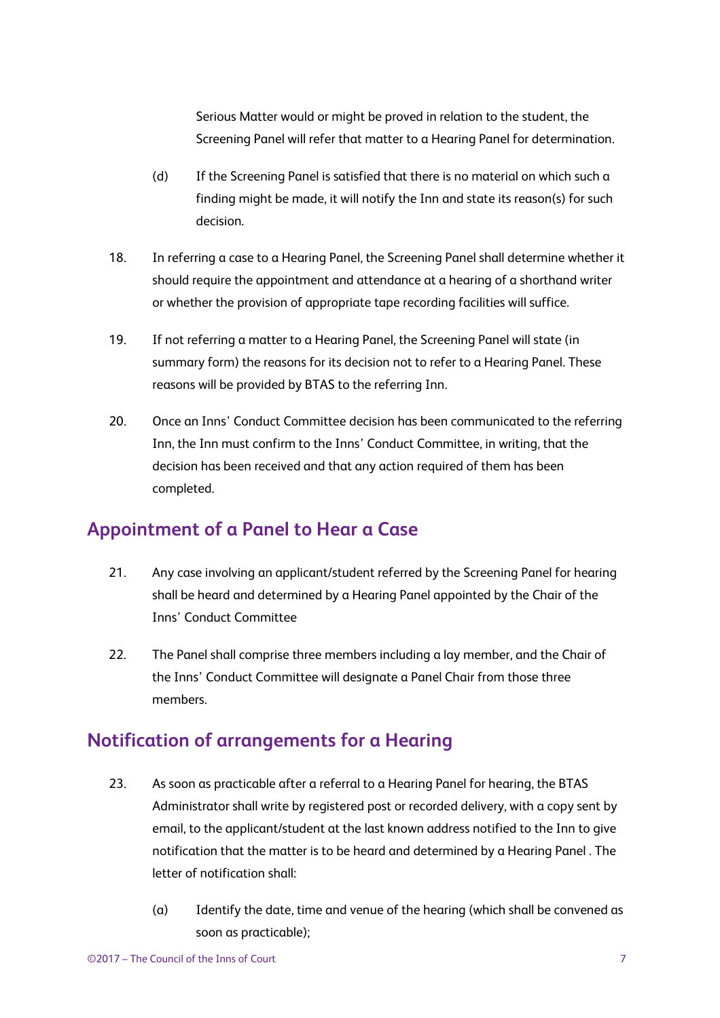Serious Matter would or might be proved in relation to the student, the Screening Panel will refer that matter to a Hearing Panel for determination.

- (d) If the Screening Panel is satisfied that there is no material on which such a finding might be made, it will notify the Inn and state its reason(s) for such decision.
- 18. In referring a case to a Hearing Panel, the Screening Panel shall determine whether it should require the appointment and attendance at a hearing of a shorthand writer or whether the provision of appropriate tape recording facilities will suffice.
- 19. If not referring a matter to a Hearing Panel, the Screening Panel will state (in summary form) the reasons for its decision not to refer to a Hearing Panel. These reasons will be provided by BTAS to the referring Inn.
- 20. Once an Inns' Conduct Committee decision has been communicated to the referring Inn, the Inn must confirm to the Inns' Conduct Committee, in writing, that the decision has been received and that any action required of them has been completed.

#### <span id="page-6-0"></span>**Appointment of a Panel to Hear a Case**

- 21. Any case involving an applicant/student referred by the Screening Panel for hearing shall be heard and determined by a Hearing Panel appointed by the Chair of the Inns' Conduct Committee
- 22. The Panel shall comprise three members including a lay member, and the Chair of the Inns' Conduct Committee will designate a Panel Chair from those three members.

#### <span id="page-6-1"></span>**Notification of arrangements for a Hearing**

- 23. As soon as practicable after a referral to a Hearing Panel for hearing, the BTAS Administrator shall write by registered post or recorded delivery, with a copy sent by email, to the applicant/student at the last known address notified to the Inn to give notification that the matter is to be heard and determined by a Hearing Panel . The letter of notification shall:
	- (a) Identify the date, time and venue of the hearing (which shall be convened as soon as practicable);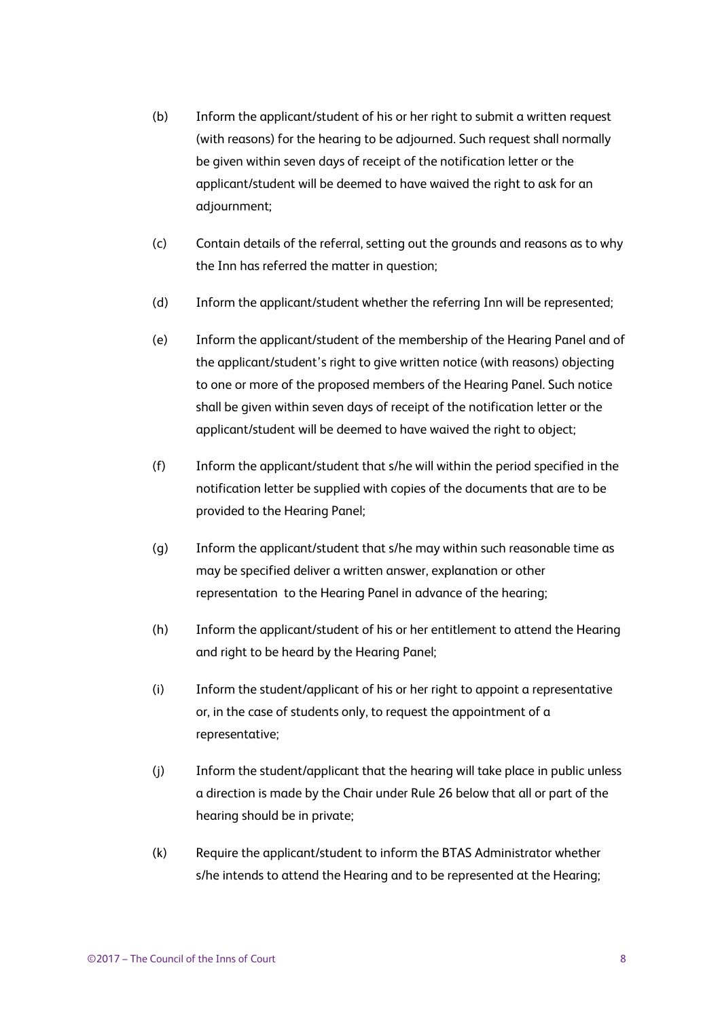- (b) Inform the applicant/student of his or her right to submit a written request (with reasons) for the hearing to be adjourned. Such request shall normally be given within seven days of receipt of the notification letter or the applicant/student will be deemed to have waived the right to ask for an adjournment;
- (c) Contain details of the referral, setting out the grounds and reasons as to why the Inn has referred the matter in question;
- (d) Inform the applicant/student whether the referring Inn will be represented;
- (e) Inform the applicant/student of the membership of the Hearing Panel and of the applicant/student's right to give written notice (with reasons) objecting to one or more of the proposed members of the Hearing Panel. Such notice shall be given within seven days of receipt of the notification letter or the applicant/student will be deemed to have waived the right to object;
- (f) Inform the applicant/student that s/he will within the period specified in the notification letter be supplied with copies of the documents that are to be provided to the Hearing Panel;
- (g) Inform the applicant/student that s/he may within such reasonable time as may be specified deliver a written answer, explanation or other representation to the Hearing Panel in advance of the hearing;
- (h) Inform the applicant/student of his or her entitlement to attend the Hearing and right to be heard by the Hearing Panel;
- (i) Inform the student/applicant of his or her right to appoint a representative or, in the case of students only, to request the appointment of a representative;
- (j) Inform the student/applicant that the hearing will take place in public unless a direction is made by the Chair under Rule 26 below that all or part of the hearing should be in private;
- (k) Require the applicant/student to inform the BTAS Administrator whether s/he intends to attend the Hearing and to be represented at the Hearing;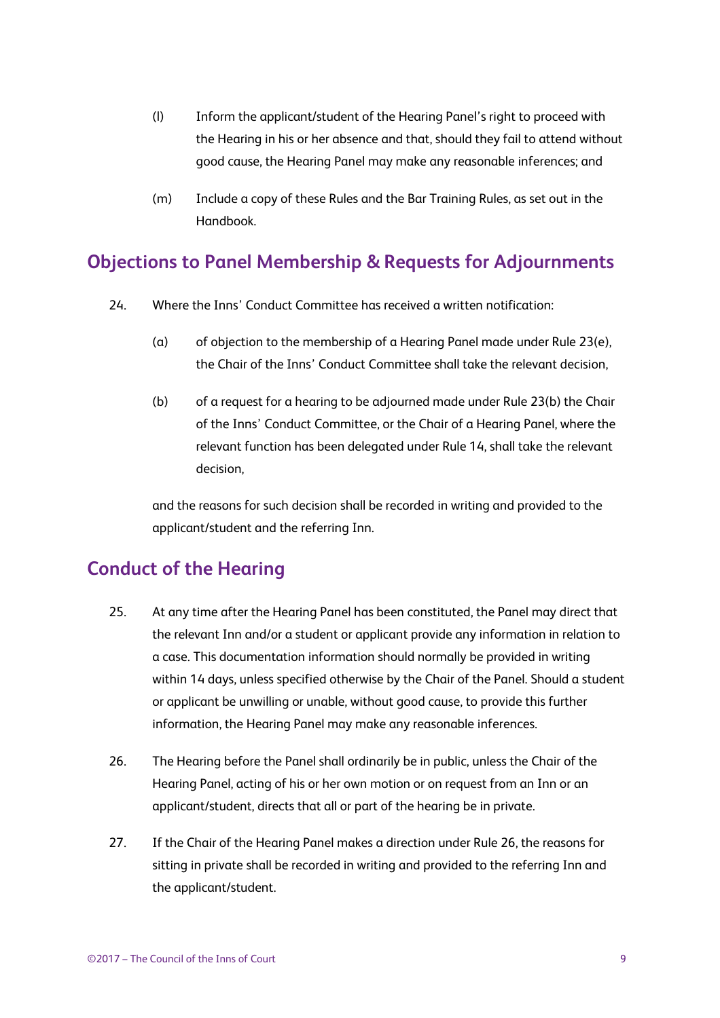- (l) Inform the applicant/student of the Hearing Panel's right to proceed with the Hearing in his or her absence and that, should they fail to attend without good cause, the Hearing Panel may make any reasonable inferences; and
- (m) Include a copy of these Rules and the Bar Training Rules, as set out in the Handbook.

#### <span id="page-8-0"></span>**Objections to Panel Membership & Requests for Adjournments**

- 24. Where the Inns' Conduct Committee has received a written notification:
	- (a) of objection to the membership of a Hearing Panel made under Rule 23(e), the Chair of the Inns' Conduct Committee shall take the relevant decision,
	- (b) of a request for a hearing to be adjourned made under Rule 23(b) the Chair of the Inns' Conduct Committee, or the Chair of a Hearing Panel, where the relevant function has been delegated under Rule 14, shall take the relevant decision,

and the reasons for such decision shall be recorded in writing and provided to the applicant/student and the referring Inn.

#### <span id="page-8-1"></span>**Conduct of the Hearing**

- 25. At any time after the Hearing Panel has been constituted, the Panel may direct that the relevant Inn and/or a student or applicant provide any information in relation to a case. This documentation information should normally be provided in writing within 14 days, unless specified otherwise by the Chair of the Panel. Should a student or applicant be unwilling or unable, without good cause, to provide this further information, the Hearing Panel may make any reasonable inferences.
- 26. The Hearing before the Panel shall ordinarily be in public, unless the Chair of the Hearing Panel, acting of his or her own motion or on request from an Inn or an applicant/student, directs that all or part of the hearing be in private.
- 27. If the Chair of the Hearing Panel makes a direction under Rule 26, the reasons for sitting in private shall be recorded in writing and provided to the referring Inn and the applicant/student.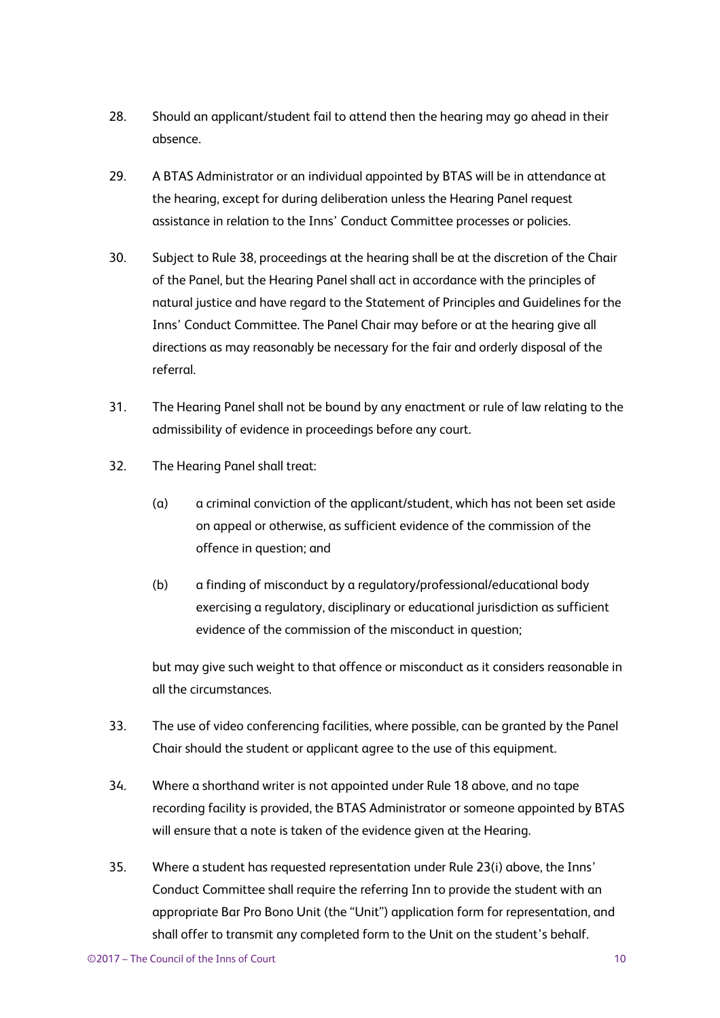- 28. Should an applicant/student fail to attend then the hearing may go ahead in their absence.
- 29. A BTAS Administrator or an individual appointed by BTAS will be in attendance at the hearing, except for during deliberation unless the Hearing Panel request assistance in relation to the Inns' Conduct Committee processes or policies.
- 30. Subject to Rule 38, proceedings at the hearing shall be at the discretion of the Chair of the Panel, but the Hearing Panel shall act in accordance with the principles of natural justice and have regard to the Statement of Principles and Guidelines for the Inns' Conduct Committee. The Panel Chair may before or at the hearing give all directions as may reasonably be necessary for the fair and orderly disposal of the referral.
- 31. The Hearing Panel shall not be bound by any enactment or rule of law relating to the admissibility of evidence in proceedings before any court.
- 32. The Hearing Panel shall treat:
	- (a) a criminal conviction of the applicant/student, which has not been set aside on appeal or otherwise, as sufficient evidence of the commission of the offence in question; and
	- (b) a finding of misconduct by a regulatory/professional/educational body exercising a regulatory, disciplinary or educational jurisdiction as sufficient evidence of the commission of the misconduct in question;

but may give such weight to that offence or misconduct as it considers reasonable in all the circumstances.

- 33. The use of video conferencing facilities, where possible, can be granted by the Panel Chair should the student or applicant agree to the use of this equipment.
- 34. Where a shorthand writer is not appointed under Rule 18 above, and no tape recording facility is provided, the BTAS Administrator or someone appointed by BTAS will ensure that a note is taken of the evidence given at the Hearing.
- 35. Where a student has requested representation under Rule 23(i) above, the Inns' Conduct Committee shall require the referring Inn to provide the student with an appropriate Bar Pro Bono Unit (the "Unit") application form for representation, and shall offer to transmit any completed form to the Unit on the student's behalf.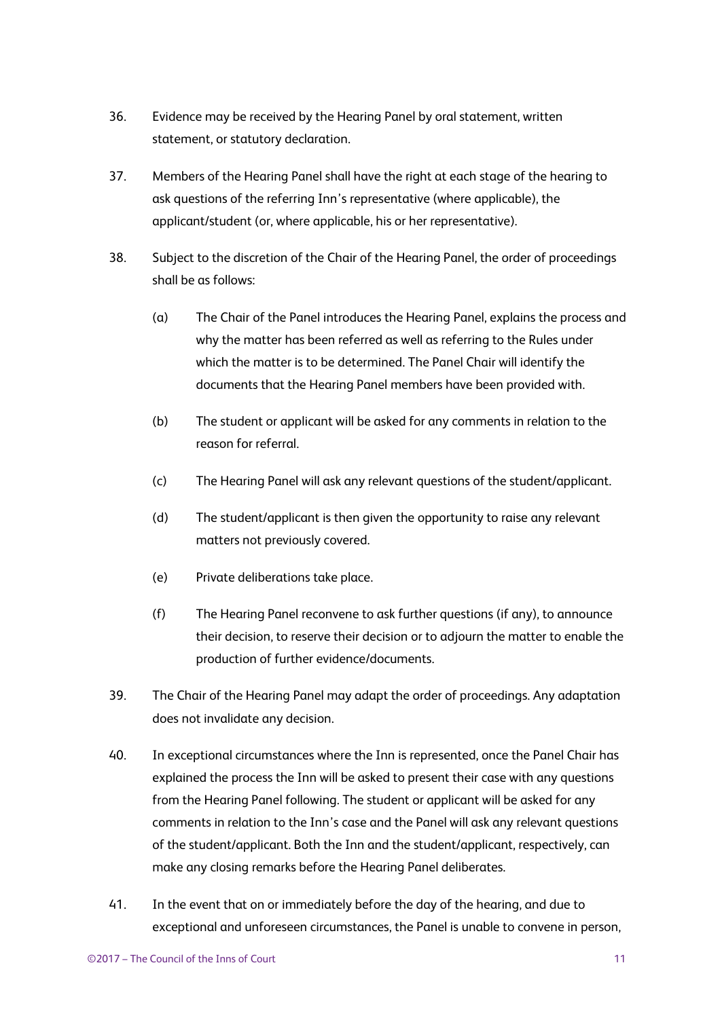- 36. Evidence may be received by the Hearing Panel by oral statement, written statement, or statutory declaration.
- 37. Members of the Hearing Panel shall have the right at each stage of the hearing to ask questions of the referring Inn's representative (where applicable), the applicant/student (or, where applicable, his or her representative).
- 38. Subject to the discretion of the Chair of the Hearing Panel, the order of proceedings shall be as follows:
	- (a) The Chair of the Panel introduces the Hearing Panel, explains the process and why the matter has been referred as well as referring to the Rules under which the matter is to be determined. The Panel Chair will identify the documents that the Hearing Panel members have been provided with.
	- (b) The student or applicant will be asked for any comments in relation to the reason for referral.
	- (c) The Hearing Panel will ask any relevant questions of the student/applicant.
	- (d) The student/applicant is then given the opportunity to raise any relevant matters not previously covered.
	- (e) Private deliberations take place.
	- (f) The Hearing Panel reconvene to ask further questions (if any), to announce their decision, to reserve their decision or to adjourn the matter to enable the production of further evidence/documents.
- 39. The Chair of the Hearing Panel may adapt the order of proceedings. Any adaptation does not invalidate any decision.
- 40. In exceptional circumstances where the Inn is represented, once the Panel Chair has explained the process the Inn will be asked to present their case with any questions from the Hearing Panel following. The student or applicant will be asked for any comments in relation to the Inn's case and the Panel will ask any relevant questions of the student/applicant. Both the Inn and the student/applicant, respectively, can make any closing remarks before the Hearing Panel deliberates.
- 41. In the event that on or immediately before the day of the hearing, and due to exceptional and unforeseen circumstances, the Panel is unable to convene in person,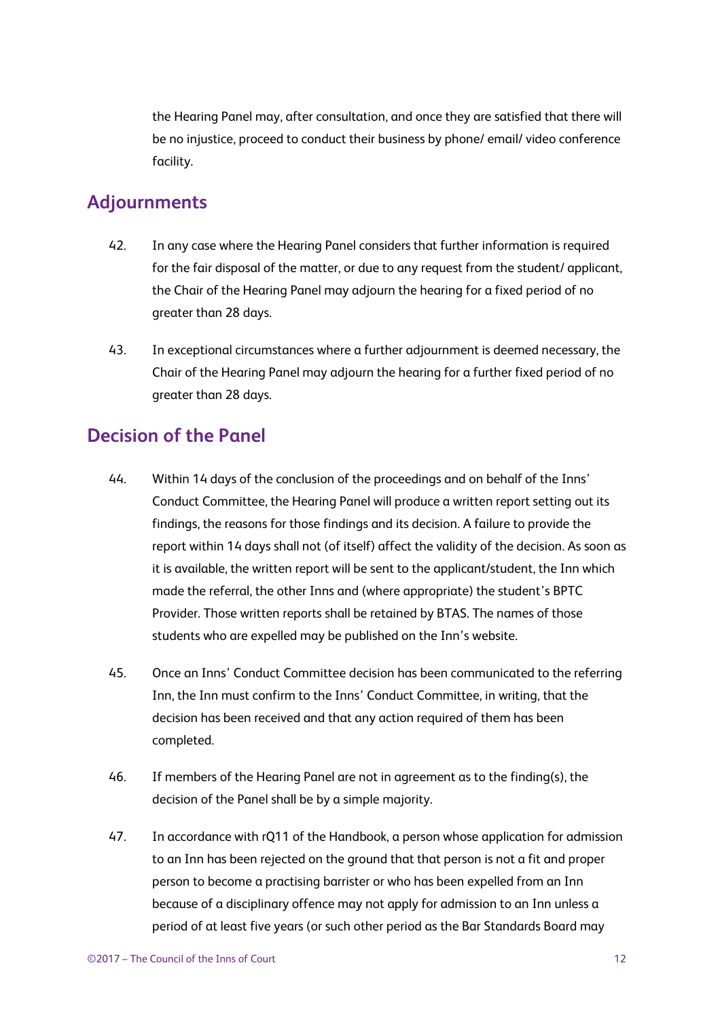the Hearing Panel may, after consultation, and once they are satisfied that there will be no injustice, proceed to conduct their business by phone/ email/ video conference facility.

#### <span id="page-11-0"></span>**Adjournments**

- 42. In any case where the Hearing Panel considers that further information is required for the fair disposal of the matter, or due to any request from the student/ applicant, the Chair of the Hearing Panel may adjourn the hearing for a fixed period of no greater than 28 days.
- 43. In exceptional circumstances where a further adjournment is deemed necessary, the Chair of the Hearing Panel may adjourn the hearing for a further fixed period of no greater than 28 days.

#### <span id="page-11-1"></span>**Decision of the Panel**

- 44. Within 14 days of the conclusion of the proceedings and on behalf of the Inns' Conduct Committee, the Hearing Panel will produce a written report setting out its findings, the reasons for those findings and its decision. A failure to provide the report within 14 days shall not (of itself) affect the validity of the decision. As soon as it is available, the written report will be sent to the applicant/student, the Inn which made the referral, the other Inns and (where appropriate) the student's BPTC Provider. Those written reports shall be retained by BTAS. The names of those students who are expelled may be published on the Inn's website.
- 45. Once an Inns' Conduct Committee decision has been communicated to the referring Inn, the Inn must confirm to the Inns' Conduct Committee, in writing, that the decision has been received and that any action required of them has been completed.
- 46. If members of the Hearing Panel are not in agreement as to the finding(s), the decision of the Panel shall be by a simple majority.
- 47. In accordance with rQ11 of the Handbook, a person whose application for admission to an Inn has been rejected on the ground that that person is not a fit and proper person to become a practising barrister or who has been expelled from an Inn because of a disciplinary offence may not apply for admission to an Inn unless a period of at least five years (or such other period as the Bar Standards Board may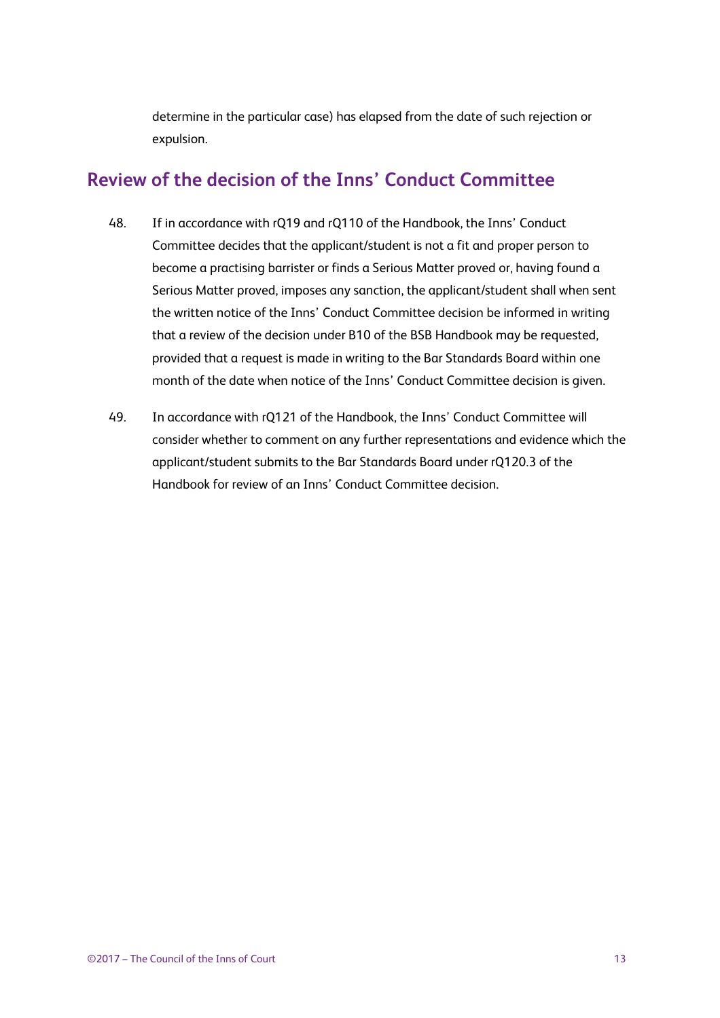determine in the particular case) has elapsed from the date of such rejection or expulsion.

#### <span id="page-12-0"></span>**Review of the decision of the Inns' Conduct Committee**

- 48. If in accordance with rQ19 and rQ110 of the Handbook, the Inns' Conduct Committee decides that the applicant/student is not a fit and proper person to become a practising barrister or finds a Serious Matter proved or, having found a Serious Matter proved, imposes any sanction, the applicant/student shall when sent the written notice of the Inns' Conduct Committee decision be informed in writing that a review of the decision under B10 of the BSB Handbook may be requested, provided that a request is made in writing to the Bar Standards Board within one month of the date when notice of the Inns' Conduct Committee decision is given.
- <span id="page-12-1"></span>49. In accordance with rQ121 of the Handbook, the Inns' Conduct Committee will consider whether to comment on any further representations and evidence which the applicant/student submits to the Bar Standards Board under rQ120.3 of the Handbook for review of an Inns' Conduct Committee decision.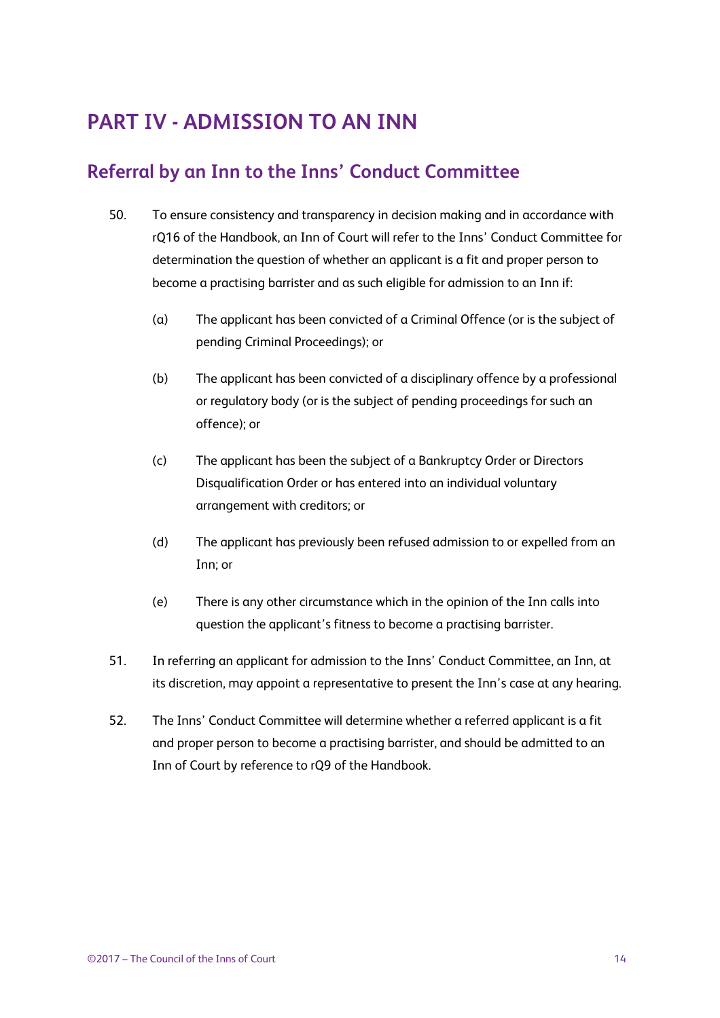### **PART IV - ADMISSION TO AN INN**

#### <span id="page-13-0"></span>**Referral by an Inn to the Inns' Conduct Committee**

- 50. To ensure consistency and transparency in decision making and in accordance with rQ16 of the Handbook, an Inn of Court will refer to the Inns' Conduct Committee for determination the question of whether an applicant is a fit and proper person to become a practising barrister and as such eligible for admission to an Inn if:
	- (a) The applicant has been convicted of a Criminal Offence (or is the subject of pending Criminal Proceedings); or
	- (b) The applicant has been convicted of a disciplinary offence by a professional or regulatory body (or is the subject of pending proceedings for such an offence); or
	- (c) The applicant has been the subject of a Bankruptcy Order or Directors Disqualification Order or has entered into an individual voluntary arrangement with creditors; or
	- (d) The applicant has previously been refused admission to or expelled from an Inn; or
	- (e) There is any other circumstance which in the opinion of the Inn calls into question the applicant's fitness to become a practising barrister.
- 51. In referring an applicant for admission to the Inns' Conduct Committee, an Inn, at its discretion, may appoint a representative to present the Inn's case at any hearing.
- 52. The Inns' Conduct Committee will determine whether a referred applicant is a fit and proper person to become a practising barrister, and should be admitted to an Inn of Court by reference to rQ9 of the Handbook.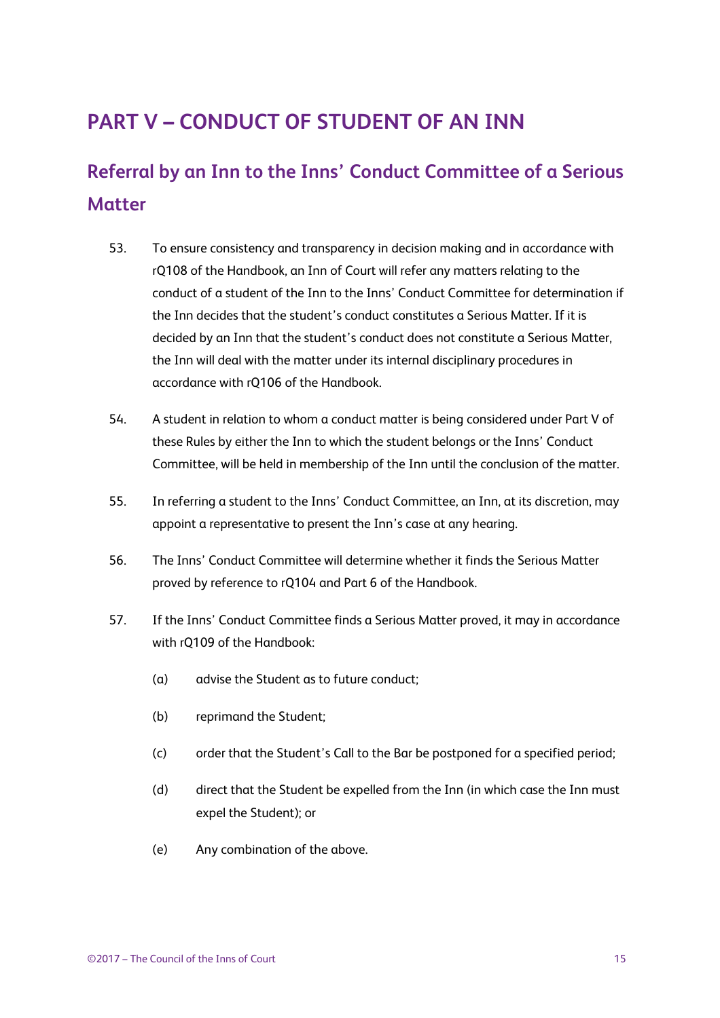### <span id="page-14-0"></span>**PART V – CONDUCT OF STUDENT OF AN INN**

### <span id="page-14-1"></span>**Referral by an Inn to the Inns' Conduct Committee of a Serious Matter**

- 53. To ensure consistency and transparency in decision making and in accordance with rQ108 of the Handbook, an Inn of Court will refer any matters relating to the conduct of a student of the Inn to the Inns' Conduct Committee for determination if the Inn decides that the student's conduct constitutes a Serious Matter. If it is decided by an Inn that the student's conduct does not constitute a Serious Matter, the Inn will deal with the matter under its internal disciplinary procedures in accordance with rQ106 of the Handbook.
- 54. A student in relation to whom a conduct matter is being considered under Part V of these Rules by either the Inn to which the student belongs or the Inns' Conduct Committee, will be held in membership of the Inn until the conclusion of the matter.
- 55. In referring a student to the Inns' Conduct Committee, an Inn, at its discretion, may appoint a representative to present the Inn's case at any hearing.
- 56. The Inns' Conduct Committee will determine whether it finds the Serious Matter proved by reference to rQ104 and Part 6 of the Handbook.
- 57. If the Inns' Conduct Committee finds a Serious Matter proved, it may in accordance with rQ109 of the Handbook:
	- (a) advise the Student as to future conduct;
	- (b) reprimand the Student;
	- (c) order that the Student's Call to the Bar be postponed for a specified period;
	- (d) direct that the Student be expelled from the Inn (in which case the Inn must expel the Student); or
	- (e) Any combination of the above.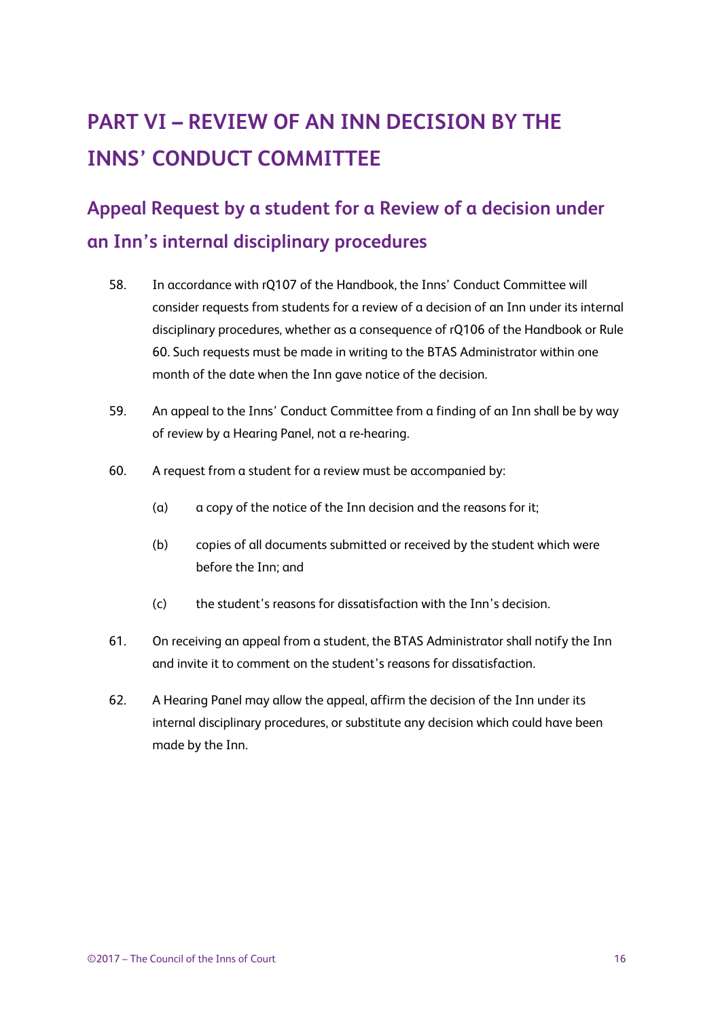## <span id="page-15-0"></span>**PART VI – REVIEW OF AN INN DECISION BY THE INNS' CONDUCT COMMITTEE**

### <span id="page-15-1"></span>**Appeal Request by a student for a Review of a decision under an Inn's internal disciplinary procedures**

- 58. In accordance with rQ107 of the Handbook, the Inns' Conduct Committee will consider requests from students for a review of a decision of an Inn under its internal disciplinary procedures, whether as a consequence of rQ106 of the Handbook or Rule 60. Such requests must be made in writing to the BTAS Administrator within one month of the date when the Inn gave notice of the decision.
- 59. An appeal to the Inns' Conduct Committee from a finding of an Inn shall be by way of review by a Hearing Panel, not a re-hearing.
- 60. A request from a student for a review must be accompanied by:
	- (a) a copy of the notice of the Inn decision and the reasons for it;
	- (b) copies of all documents submitted or received by the student which were before the Inn; and
	- (c) the student's reasons for dissatisfaction with the Inn's decision.
- 61. On receiving an appeal from a student, the BTAS Administrator shall notify the Inn and invite it to comment on the student's reasons for dissatisfaction.
- <span id="page-15-2"></span>62. A Hearing Panel may allow the appeal, affirm the decision of the Inn under its internal disciplinary procedures, or substitute any decision which could have been made by the Inn.